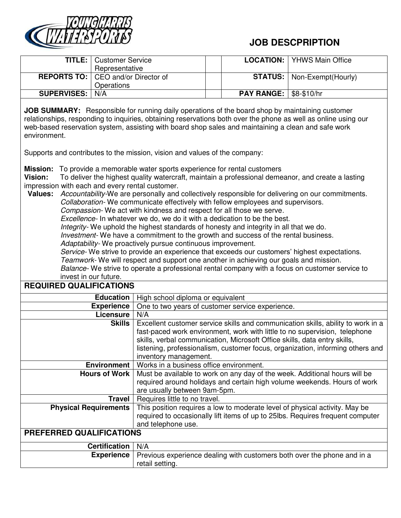

## **JOB DESCPRIPTION**

|                    | <b>TITLE:</b>   Customer Service<br>Representative |                                 | <b>LOCATION:</b>   YHWS Main Office |
|--------------------|----------------------------------------------------|---------------------------------|-------------------------------------|
|                    | <b>REPORTS TO:</b> CEO and/or Director of          |                                 | <b>STATUS:</b>   Non-Exempt(Hourly) |
|                    | Operations                                         |                                 |                                     |
| <b>SUPERVISES:</b> | N/A                                                | <b>PAY RANGE:   \$8-\$10/hr</b> |                                     |

**JOB SUMMARY:** Responsible for running daily operations of the board shop by maintaining customer relationships, responding to inquiries, obtaining reservations both over the phone as well as online using our web-based reservation system, assisting with board shop sales and maintaining a clean and safe work environment.

Supports and contributes to the mission, vision and values of the company:

**Mission:** To provide a memorable water sports experience for rental customers

**Vision:** To deliver the highest quality watercraft, maintain a professional demeanor, and create a lasting impression with each and every rental customer.

**Values:** *Accountability-*We are personally and collectively responsible for delivering on our commitments. *Collaboration-* We communicate effectively with fellow employees and supervisors. *Compassion-* We act with kindness and respect for all those we serve*. Excellence-* In whatever we do, we do it with a dedication to be the best.

*Integrity-* We uphold the highest standards of honesty and integrity in all that we do.

*Investment-* We have a commitment to the growth and success of the rental business.

*Adaptability-* We proactively pursue continuous improvement.

*Service-* We strive to provide an experience that exceeds our customers' highest expectations. *Teamwork-* We will respect and support one another in achieving our goals and mission.

*Balance-* We strive to operate a professional rental company with a focus on customer service to

invest in our future.

## **REQUIRED QUALIFICATIONS**

| Education                       | High school diploma or equivalent                                                                                                                                                                                                                                                                                                                      |  |
|---------------------------------|--------------------------------------------------------------------------------------------------------------------------------------------------------------------------------------------------------------------------------------------------------------------------------------------------------------------------------------------------------|--|
| <b>Experience</b>               | One to two years of customer service experience.                                                                                                                                                                                                                                                                                                       |  |
| Licensure                       | N/A                                                                                                                                                                                                                                                                                                                                                    |  |
| Skills                          | Excellent customer service skills and communication skills, ability to work in a<br>fast-paced work environment, work with little to no supervision, telephone<br>skills, verbal communication, Microsoft Office skills, data entry skills,<br>listening, professionalism, customer focus, organization, informing others and<br>inventory management. |  |
| Environment                     | Works in a business office environment.                                                                                                                                                                                                                                                                                                                |  |
| Hours of Work                   | Must be available to work on any day of the week. Additional hours will be<br>required around holidays and certain high volume weekends. Hours of work<br>are usually between 9am-5pm.                                                                                                                                                                 |  |
| Travel                          | Requires little to no travel.                                                                                                                                                                                                                                                                                                                          |  |
| <b>Physical Requirements</b>    | This position requires a low to moderate level of physical activity. May be<br>required to occasionally lift items of up to 25lbs. Requires frequent computer<br>and telephone use.                                                                                                                                                                    |  |
| <b>PREFERRED QUALIFICATIONS</b> |                                                                                                                                                                                                                                                                                                                                                        |  |
| Certification                   | N/A                                                                                                                                                                                                                                                                                                                                                    |  |
| <b>Experience</b>               | Previous experience dealing with customers both over the phone and in a<br>retail setting.                                                                                                                                                                                                                                                             |  |